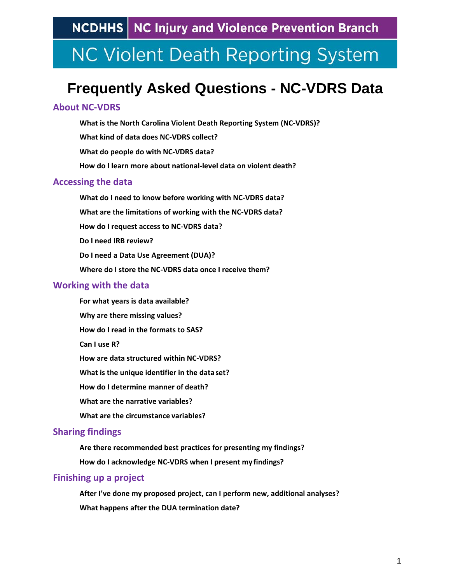# **NC Violent Death Reporting System**

## **Frequently Asked Questions - NC-VDRS Data**

### **[About NC-VDRS](#page-0-0)**

**[What is the North Carolina Violent Death Reporting System \(NC-VDRS\)?](#page-1-0) [What kind of data does NC-VDRS collect?](#page-1-1) What do people do with NC-VDRS data? [How do I learn more about national-level data on violent death?](#page-2-0) [Accessing the data](#page-2-1) [What do I need to know before working with NC-VDRS data?](#page-2-2)**

**[What are the limitations of working with the NC-VDRS data?](#page-3-0)  [How do I request access to NC-VDRS data?](#page-3-1) [Do I need IRB review?](#page-3-2) Do I need a Data Use Agreement (DUA)? [Where do I store the NC-VDRS data](#page-4-0) once I receive them?**

#### **[Working with the data](#page-4-1)**

**[For what years is data available?](#page-4-2)  Why are [there missing values?](#page-4-3) [How do I read in the formats to SAS?](#page-4-4)  [Can I use R?](#page-5-2)  [How are data structured](#page-5-0) within NC-VDRS? What is the [unique identifier in the](#page-5-0) data set? How [do I determine manner of](#page-5-1) death? What are [the narrative variables?](#page-6-0) What are the [circumstance](#page-6-1) variables?**

### **[Sharing findings](#page-7-0)**

**[Are there recommended best practices for presenting my findings?](#page-7-1) [How do I acknowledge NC-VDRS when I present my](#page-7-2) findings?**

#### **Finishing up a project**

<span id="page-0-0"></span>**[After I've done my proposed project, can I perform new, additional analyses?](#page-7-3) [What happens after the DUA termination date?](#page-8-0)**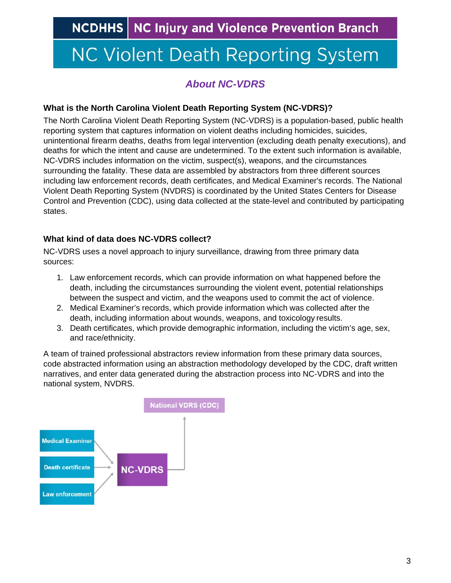# **NC Violent Death Reporting System**

### *About NC-VDRS*

#### <span id="page-1-0"></span>**What is the North Carolina Violent Death Reporting System (NC-VDRS)?**

The North Carolina Violent Death Reporting System (NC-VDRS) is a population-based, public health reporting system that captures information on violent deaths including homicides, suicides, unintentional firearm deaths, deaths from legal intervention (excluding death penalty executions), and deaths for which the intent and cause are undetermined. To the extent such information is available, NC-VDRS includes information on the victim, suspect(s), weapons, and the circumstances surrounding the fatality. These data are assembled by abstractors from three different sources including law enforcement records, death certificates, and Medical Examiner's records. The National Violent Death Reporting System (NVDRS) is coordinated by the United States Centers for Disease Control and Prevention (CDC), using data collected at the state-level and contributed by participating states.

### <span id="page-1-1"></span>**What kind of data does NC-VDRS collect?**

NC-VDRS uses a novel approach to injury surveillance, drawing from three primary data sources:

- 1. Law enforcement records, which can provide information on what happened before the death, including the circumstances surrounding the violent event, potential relationships between the suspect and victim, and the weapons used to commit the act of violence.
- 2. Medical Examiner's records, which provide information which was collected after the death, including information about wounds, weapons, and toxicology results.
- 3. Death certificates, which provide demographic information, including the victim's age, sex, and race/ethnicity.

A team of trained professional abstractors review information from these primary data sources, code abstracted information using an abstraction methodology developed by the CDC, draft written narratives, and enter data generated during the abstraction process into NC-VDRS and into the national system, NVDRS.

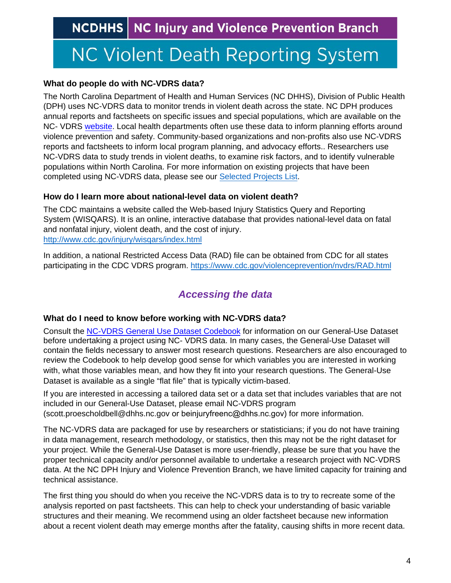# **NC Violent Death Reporting System**

#### **What do people do with NC-VDRS data?**

The North Carolina Department of Health and Human Services (NC DHHS), Division of Public Health (DPH) uses NC-VDRS data to monitor trends in violent death across the state. NC DPH produces annual reports and factsheets on specific issues and special populations, which are available on the NC- VDR[S website.](https://www.injuryfreenc.ncdhhs.gov/DataSurveillance/ViolentDeathData.htm) Local health departments often use these data to inform planning efforts around violence prevention and safety. Community-based organizations and non-profits also use NC-VDRS reports and factsheets to inform local program planning, and advocacy efforts.. Researchers use NC-VDRS data to study trends in violent deaths, to examine risk factors, and to identify vulnerable populations within North Carolina. For more information on existing projects that have been completed using NC-VDRS data, please see our [Selected Projects List.](https://www.injuryfreenc.ncdhhs.gov/DataSurveillance/NC-VDRS-SelectedProjectsUsing-NCVDRS-Data.pdf)

### <span id="page-2-0"></span>**How do I learn more about national-level data on violent death?**

The CDC maintains a website called the Web-based Injury Statistics Query and Reporting System (WISQARS). It is an online, interactive database that provides national-level data on fatal and nonfatal injury, violent death, and the cost of injury. <http://www.cdc.gov/injury/wisqars/index.html>

In addition, a national Restricted Access Data (RAD) file can be obtained from CDC for all states participating in the CDC VDRS program.<https://www.cdc.gov/violenceprevention/nvdrs/RAD.html>

## *Accessing the data*

### <span id="page-2-2"></span><span id="page-2-1"></span>**What do I need to know before working with NC-VDRS data?**

Consult the NC-VDRS [General Use Dataset Codebook](https://www.injuryfreenc.ncdhhs.gov/DataSurveillance/NC-VDRS-GeneralUseDatasetCodebook.pdf) for information on our General-Use Dataset before undertaking a project using NC- VDRS data. In many cases, the General-Use Dataset will contain the fields necessary to answer most research questions. Researchers are also encouraged to review the Codebook to help develop good sense for which variables you are interested in working with, what those variables mean, and how they fit into your research questions. The General-Use Dataset is available as a single "flat file" that is typically victim-based.

If you are interested in accessing a tailored data set or a data set that includes variables that are not included in our General-Use Dataset, please email NC-VDRS program (scott.proescholdbell@dhhs.nc.gov or beinjuryfreenc@dhhs.nc.gov) for more information.

The NC-VDRS data are packaged for use by researchers or statisticians; if you do not have training in data management, research methodology, or statistics, then this may not be the right dataset for your project. While the General-Use Dataset is more user-friendly, please be sure that you have the proper technical capacity and/or personnel available to undertake a research project with NC-VDRS data. At the NC DPH Injury and Violence Prevention Branch, we have limited capacity for training and technical assistance.

The first thing you should do when you receive the NC-VDRS data is to try to recreate some of the analysis reported on past factsheets. This can help to check your understanding of basic variable structures and their meaning. We recommend using an older factsheet because new information about a recent violent death may emerge months after the fatality, causing shifts in more recent data.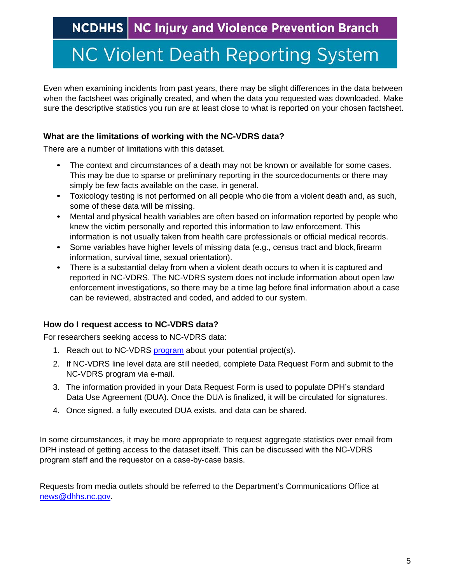# **NC Violent Death Reporting System**

Even when examining incidents from past years, there may be slight differences in the data between when the factsheet was originally created, and when the data you requested was downloaded. Make sure the descriptive statistics you run are at least close to what is reported on your chosen factsheet.

#### <span id="page-3-0"></span>**What are the limitations of working with the NC-VDRS data?**

There are a number of limitations with this dataset.

- The context and circumstances of a death may not be known or available for some cases. This may be due to sparse or preliminary reporting in the sourcedocuments or there may simply be few facts available on the case, in general.
- Toxicology testing is not performed on all people who die from a violent death and, as such, some of these data will be missing.
- Mental and physical health variables are often based on information reported by people who knew the victim personally and reported this information to law enforcement. This information is not usually taken from health care professionals or official medical records.
- Some variables have higher levels of missing data (e.g., census tract and block, firearm information, survival time, sexual orientation).
- There is a substantial delay from when a violent death occurs to when it is captured and reported in NC-VDRS. The NC-VDRS system does not include information about open law enforcement investigations, so there may be a time lag before final information about a case can be reviewed, abstracted and coded, and added to our system.

### <span id="page-3-1"></span>**How do I request access to NC-VDRS data?**

For researchers seeking access to NC-VDRS data:

- 1. Reach out to NC-VDRS [program](http://scott.proescholdbell@dhhs.nc.gov) about your potential project(s).
- 2. If NC-VDRS line level data are still needed, complete Data Request Form and submit to the NC-VDRS program via e-mail.
- 3. The information provided in your Data Request Form is used to populate DPH's standard Data Use Agreement (DUA). Once the DUA is finalized, it will be circulated for signatures.
- 4. Once signed, a fully executed DUA exists, and data can be shared.

In some circumstances, it may be more appropriate to request aggregate statistics over email from DPH instead of getting access to the dataset itself. This can be discussed with the NC-VDRS program staff and the requestor on a case-by-case basis.

<span id="page-3-2"></span>Requests from media outlets should be referred to the Department's Communications Office at [news@dhhs.nc.gov.](mailto:news@dhhs.nc.gov)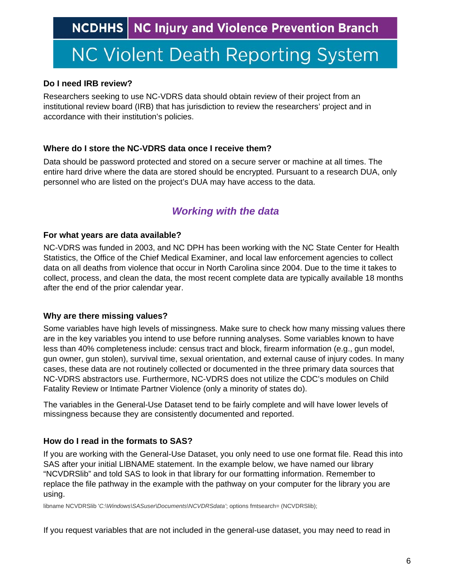# **NC Violent Death Reporting System**

### **Do I need IRB review?**

Researchers seeking to use NC-VDRS data should obtain review of their project from an institutional review board (IRB) that has jurisdiction to review the researchers' project and in accordance with their institution's policies.

### <span id="page-4-0"></span>**Where do I store the NC-VDRS data once I receive them?**

Data should be password protected and stored on a secure server or machine at all times. The entire hard drive where the data are stored should be encrypted. Pursuant to a research DUA, only personnel who are listed on the project's DUA may have access to the data.

## *Working with the data*

### <span id="page-4-2"></span><span id="page-4-1"></span>**For what years are data available?**

NC-VDRS was funded in 2003, and NC DPH has been working with the NC State Center for Health Statistics, the Office of the Chief Medical Examiner, and local law enforcement agencies to collect data on all deaths from violence that occur in North Carolina since 2004. Due to the time it takes to collect, process, and clean the data, the most recent complete data are typically available 18 months after the end of the prior calendar year.

### <span id="page-4-3"></span>**Why are there missing values?**

Some variables have high levels of missingness. Make sure to check how many missing values there are in the key variables you intend to use before running analyses. Some variables known to have less than 40% completeness include: census tract and block, firearm information (e.g., gun model, gun owner, gun stolen), survival time, sexual orientation, and external cause of injury codes. In many cases, these data are not routinely collected or documented in the three primary data sources that NC-VDRS abstractors use. Furthermore, NC-VDRS does not utilize the CDC's modules on Child Fatality Review or Intimate Partner Violence (only a minority of states do).

The variables in the General-Use Dataset tend to be fairly complete and will have lower levels of missingness because they are consistently documented and reported.

### <span id="page-4-4"></span>**How do I read in the formats to SAS?**

If you are working with the General-Use Dataset, you only need to use one format file. Read this into SAS after your initial LIBNAME statement. In the example below, we have named our library "NCVDRSlib" and told SAS to look in that library for our formatting information. Remember to replace the file pathway in the example with the pathway on your computer for the library you are using.

libname NCVDRSlib '*C:\Windows\SASuser\Documents\NCVDRSdata'*; options fmtsearch= (NCVDRSlib);

If you request variables that are not included in the general-use dataset, you may need to read in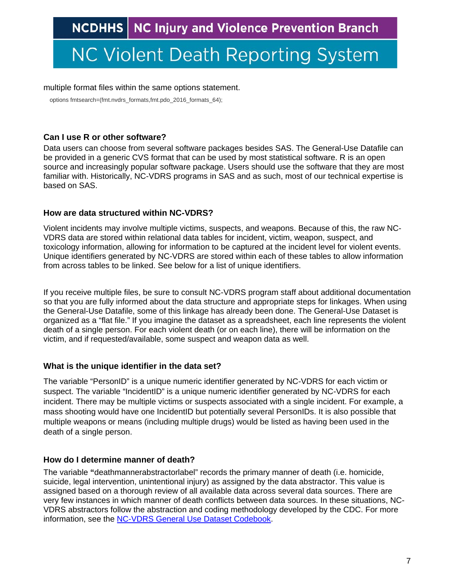# <span id="page-5-2"></span>**NC Violent Death Reporting System**

#### multiple format files within the same options statement.

options fmtsearch=(fmt.nvdrs\_formats,fmt.pdo\_2016\_formats\_64);

#### **Can I use R or other software?**

Data users can choose from several software packages besides SAS. The General-Use Datafile can be provided in a generic CVS format that can be used by most statistical software. R is an open source and increasingly popular software package. Users should use the software that they are most familiar with. Historically, NC-VDRS programs in SAS and as such, most of our technical expertise is based on SAS.

#### <span id="page-5-0"></span>**How are data structured within NC-VDRS?**

Violent incidents may involve multiple victims, suspects, and weapons. Because of this, the raw NC-VDRS data are stored within relational data tables for incident, victim, weapon, suspect, and toxicology information, allowing for information to be captured at the incident level for violent events. Unique identifiers generated by NC-VDRS are stored within each of these tables to allow information from across tables to be linked. See below for a list of unique identifiers.

If you receive multiple files, be sure to consult NC-VDRS program staff about additional documentation so that you are fully informed about the data structure and appropriate steps for linkages. When using the General-Use Datafile, some of this linkage has already been done. The General-Use Dataset is organized as a "flat file." If you imagine the dataset as a spreadsheet, each line represents the violent death of a single person. For each violent death (or on each line), there will be information on the victim, and if requested/available, some suspect and weapon data as well.

#### **What is the unique identifier in the data set?**

The variable "PersonID" is a unique numeric identifier generated by NC-VDRS for each victim or suspect. The variable "IncidentID" is a unique numeric identifier generated by NC-VDRS for each incident. There may be multiple victims or suspects associated with a single incident. For example, a mass shooting would have one IncidentID but potentially several PersonIDs. It is also possible that multiple weapons or means (including multiple drugs) would be listed as having been used in the death of a single person.

#### <span id="page-5-1"></span>**How do I determine manner of death?**

The variable **"**deathmannerabstractorlabel" records the primary manner of death (i.e. homicide, suicide, legal intervention, unintentional injury) as assigned by the data abstractor. This value is assigned based on a thorough review of all available data across several data sources. There are very few instances in which manner of death conflicts between data sources. In these situations, NC-VDRS abstractors follow the abstraction and coding methodology developed by the CDC. For more information, see the [NC-VDRS General Use Dataset Codebook.](https://www.injuryfreenc.ncdhhs.gov/DataSurveillance/NC-VDRS-GeneralUseDatasetCodebook.pdf)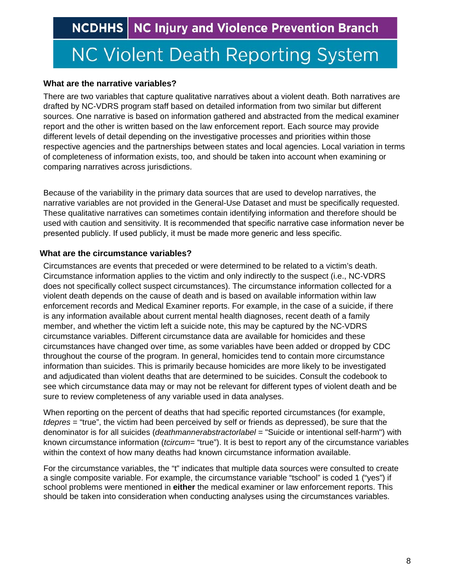# **NC Violent Death Reporting System**

#### <span id="page-6-0"></span>**What are the narrative variables?**

There are two variables that capture qualitative narratives about a violent death. Both narratives are drafted by NC-VDRS program staff based on detailed information from two similar but different sources. One narrative is based on information gathered and abstracted from the medical examiner report and the other is written based on the law enforcement report. Each source may provide different levels of detail depending on the investigative processes and priorities within those respective agencies and the partnerships between states and local agencies. Local variation in terms of completeness of information exists, too, and should be taken into account when examining or comparing narratives across jurisdictions.

Because of the variability in the primary data sources that are used to develop narratives, the narrative variables are not provided in the General-Use Dataset and must be specifically requested. These qualitative narratives can sometimes contain identifying information and therefore should be used with caution and sensitivity. It is recommended that specific narrative case information never be presented publicly. If used publicly, it must be made more generic and less specific.

#### **What are the circumstance variables?**

<span id="page-6-1"></span>Circumstances are events that preceded or were determined to be related to a victim's death. Circumstance information applies to the victim and only indirectly to the suspect (i.e., NC-VDRS does not specifically collect suspect circumstances). The circumstance information collected for a violent death depends on the cause of death and is based on available information within law enforcement records and Medical Examiner reports. For example, in the case of a suicide, if there is any information available about current mental health diagnoses, recent death of a family member, and whether the victim left a suicide note, this may be captured by the NC-VDRS circumstance variables. Different circumstance data are available for homicides and these circumstances have changed over time, as some variables have been added or dropped by CDC throughout the course of the program. In general, homicides tend to contain more circumstance information than suicides. This is primarily because homicides are more likely to be investigated and adjudicated than violent deaths that are determined to be suicides. Consult the codebook to see which circumstance data may or may not be relevant for different types of violent death and be sure to review completeness of any variable used in data analyses.

When reporting on the percent of deaths that had specific reported circumstances (for example, *tdepres* = "true", the victim had been perceived by self or friends as depressed), be sure that the denominator is for all suicides (*deathmannerabstractorlabel* = "Suicide or intentional self-harm") with known circumstance information (*tcircum*= "true"). It is best to report any of the circumstance variables within the context of how many deaths had known circumstance information available.

For the circumstance variables, the "t" indicates that multiple data sources were consulted to create a single composite variable. For example, the circumstance variable "tschool" is coded 1 ("yes") if school problems were mentioned in **either** the medical examiner or law enforcement reports. This should be taken into consideration when conducting analyses using the circumstances variables.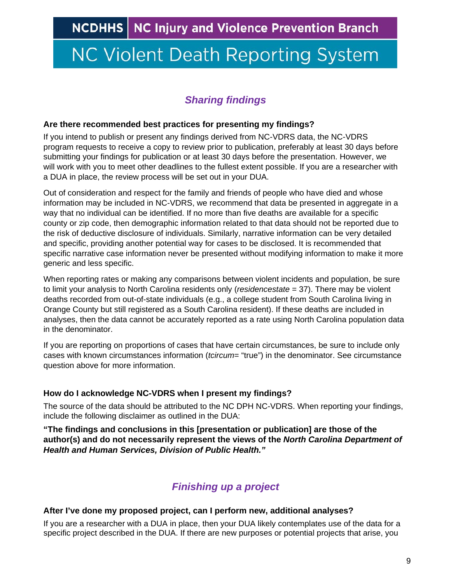# <span id="page-7-0"></span>**NC Violent Death Reporting System**

## *Sharing findings*

#### <span id="page-7-1"></span>**Are there recommended best practices for presenting my findings?**

If you intend to publish or present any findings derived from NC-VDRS data, the NC-VDRS program requests to receive a copy to review prior to publication, preferably at least 30 days before submitting your findings for publication or at least 30 days before the presentation. However, we will work with you to meet other deadlines to the fullest extent possible. If you are a researcher with a DUA in place, the review process will be set out in your DUA.

Out of consideration and respect for the family and friends of people who have died and whose information may be included in NC-VDRS, we recommend that data be presented in aggregate in a way that no individual can be identified. If no more than five deaths are available for a specific county or zip code, then demographic information related to that data should not be reported due to the risk of deductive disclosure of individuals. Similarly, narrative information can be very detailed and specific, providing another potential way for cases to be disclosed. It is recommended that specific narrative case information never be presented without modifying information to make it more generic and less specific.

When reporting rates or making any comparisons between violent incidents and population, be sure to limit your analysis to North Carolina residents only (*residencestate* = 37). There may be violent deaths recorded from out-of-state individuals (e.g., a college student from South Carolina living in Orange County but still registered as a South Carolina resident). If these deaths are included in analyses, then the data cannot be accurately reported as a rate using North Carolina population data in the denominator.

If you are reporting on proportions of cases that have certain circumstances, be sure to include only cases with known circumstances information (*tcircum*= "true") in the denominator. See circumstance question above for more information.

#### <span id="page-7-2"></span>**How do I acknowledge NC-VDRS when I present my findings?**

The source of the data should be attributed to the NC DPH NC-VDRS. When reporting your findings, include the following disclaimer as outlined in the DUA:

**"The findings and conclusions in this [presentation or publication] are those of the author(s) and do not necessarily represent the views of the** *North Carolina Department of Health and Human Services, Division of Public Health."*

## *Finishing up a project*

#### <span id="page-7-3"></span>**After I've done my proposed project, can I perform new, additional analyses?**

If you are a researcher with a DUA in place, then your DUA likely contemplates use of the data for a specific project described in the DUA. If there are new purposes or potential projects that arise, you